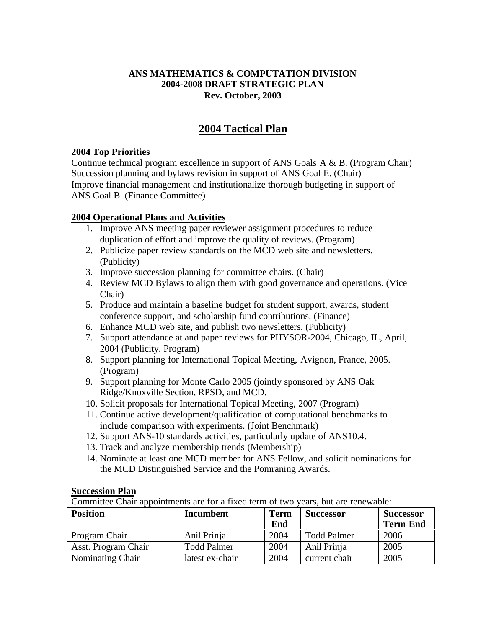### **ANS MATHEMATICS & COMPUTATION DIVISION 2004-2008 DRAFT STRATEGIC PLAN Rev. October, 2003**

# **2004 Tactical Plan**

#### **2004 Top Priorities**

Continue technical program excellence in support of ANS Goals A & B. (Program Chair) Succession planning and bylaws revision in support of ANS Goal E. (Chair) Improve financial management and institutionalize thorough budgeting in support of ANS Goal B. (Finance Committee)

### **2004 Operational Plans and Activities**

- 1. Improve ANS meeting paper reviewer assignment procedures to reduce duplication of effort and improve the quality of reviews. (Program)
- 2. Publicize paper review standards on the MCD web site and newsletters. (Publicity)
- 3. Improve succession planning for committee chairs. (Chair)
- 4. Review MCD Bylaws to align them with good governance and operations. (Vice Chair)
- 5. Produce and maintain a baseline budget for student support, awards, student conference support, and scholarship fund contributions. (Finance)
- 6. Enhance MCD web site, and publish two newsletters. (Publicity)
- 7. Support attendance at and paper reviews for PHYSOR-2004, Chicago, IL, April, 2004 (Publicity, Program)
- 8. Support planning for International Topical Meeting, Avignon, France, 2005. (Program)
- 9. Support planning for Monte Carlo 2005 (jointly sponsored by ANS Oak Ridge/Knoxville Section, RPSD, and MCD.
- 10. Solicit proposals for International Topical Meeting, 2007 (Program)
- 11. Continue active development/qualification of computational benchmarks to include comparison with experiments. (Joint Benchmark)
- 12. Support ANS-10 standards activities, particularly update of ANS10.4.
- 13. Track and analyze membership trends (Membership)
- 14. Nominate at least one MCD member for ANS Fellow, and solicit nominations for the MCD Distinguished Service and the Pomraning Awards.

#### **Succession Plan**

Committee Chair appointments are for a fixed term of two years, but are renewable:

| <b>Position</b>     | <b>Incumbent</b>   | <b>Term</b> | <b>Successor</b>   | <b>Successor</b> |
|---------------------|--------------------|-------------|--------------------|------------------|
|                     |                    | End         |                    | <b>Term End</b>  |
| Program Chair       | Anil Prinja        | 2004        | <b>Todd Palmer</b> | 2006             |
| Asst. Program Chair | <b>Todd Palmer</b> | 2004        | Anil Prinja        | 2005             |
| Nominating Chair    | latest ex-chair    | 2004        | current chair      | 2005             |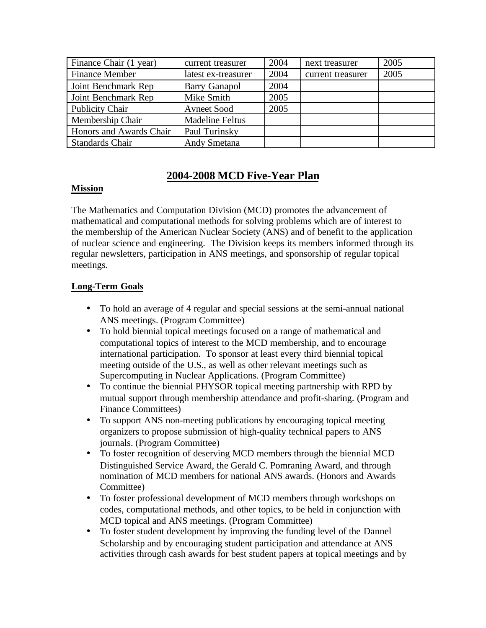| Finance Chair (1 year)  | current treasurer      | 2004 | next treasurer    | 2005 |
|-------------------------|------------------------|------|-------------------|------|
| <b>Finance Member</b>   | latest ex-treasurer    | 2004 | current treasurer | 2005 |
| Joint Benchmark Rep     | <b>Barry Ganapol</b>   | 2004 |                   |      |
| Joint Benchmark Rep     | Mike Smith             | 2005 |                   |      |
| Publicity Chair         | <b>Avneet Sood</b>     | 2005 |                   |      |
| Membership Chair        | <b>Madeline Feltus</b> |      |                   |      |
| Honors and Awards Chair | Paul Turinsky          |      |                   |      |
| <b>Standards Chair</b>  | <b>Andy Smetana</b>    |      |                   |      |

## **2004-2008 MCD Five-Year Plan**

### **Mission**

The Mathematics and Computation Division (MCD) promotes the advancement of mathematical and computational methods for solving problems which are of interest to the membership of the American Nuclear Society (ANS) and of benefit to the application of nuclear science and engineering. The Division keeps its members informed through its regular newsletters, participation in ANS meetings, and sponsorship of regular topical meetings.

## **Long-Term Goals**

- To hold an average of 4 regular and special sessions at the semi-annual national ANS meetings. (Program Committee)
- To hold biennial topical meetings focused on a range of mathematical and computational topics of interest to the MCD membership, and to encourage international participation. To sponsor at least every third biennial topical meeting outside of the U.S., as well as other relevant meetings such as Supercomputing in Nuclear Applications. (Program Committee)
- To continue the biennial PHYSOR topical meeting partnership with RPD by mutual support through membership attendance and profit-sharing. (Program and Finance Committees)
- To support ANS non-meeting publications by encouraging topical meeting organizers to propose submission of high-quality technical papers to ANS journals. (Program Committee)
- To foster recognition of deserving MCD members through the biennial MCD Distinguished Service Award, the Gerald C. Pomraning Award, and through nomination of MCD members for national ANS awards. (Honors and Awards Committee)
- To foster professional development of MCD members through workshops on codes, computational methods, and other topics, to be held in conjunction with MCD topical and ANS meetings. (Program Committee)
- To foster student development by improving the funding level of the Dannel Scholarship and by encouraging student participation and attendance at ANS activities through cash awards for best student papers at topical meetings and by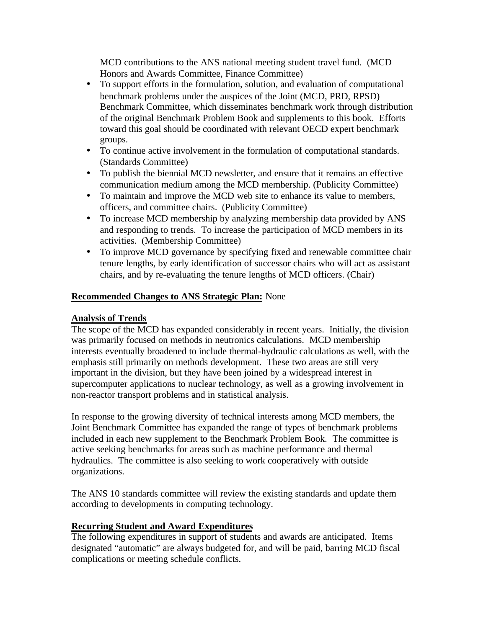MCD contributions to the ANS national meeting student travel fund. (MCD Honors and Awards Committee, Finance Committee)

- To support efforts in the formulation, solution, and evaluation of computational benchmark problems under the auspices of the Joint (MCD, PRD, RPSD) Benchmark Committee, which disseminates benchmark work through distribution of the original Benchmark Problem Book and supplements to this book. Efforts toward this goal should be coordinated with relevant OECD expert benchmark groups.
- To continue active involvement in the formulation of computational standards. (Standards Committee)
- To publish the biennial MCD newsletter, and ensure that it remains an effective communication medium among the MCD membership. (Publicity Committee)
- To maintain and improve the MCD web site to enhance its value to members, officers, and committee chairs. (Publicity Committee)
- To increase MCD membership by analyzing membership data provided by ANS and responding to trends. To increase the participation of MCD members in its activities. (Membership Committee)
- To improve MCD governance by specifying fixed and renewable committee chair tenure lengths, by early identification of successor chairs who will act as assistant chairs, and by re-evaluating the tenure lengths of MCD officers. (Chair)

### **Recommended Changes to ANS Strategic Plan:** None

### **Analysis of Trends**

The scope of the MCD has expanded considerably in recent years. Initially, the division was primarily focused on methods in neutronics calculations. MCD membership interests eventually broadened to include thermal-hydraulic calculations as well, with the emphasis still primarily on methods development. These two areas are still very important in the division, but they have been joined by a widespread interest in supercomputer applications to nuclear technology, as well as a growing involvement in non-reactor transport problems and in statistical analysis.

In response to the growing diversity of technical interests among MCD members, the Joint Benchmark Committee has expanded the range of types of benchmark problems included in each new supplement to the Benchmark Problem Book. The committee is active seeking benchmarks for areas such as machine performance and thermal hydraulics. The committee is also seeking to work cooperatively with outside organizations.

The ANS 10 standards committee will review the existing standards and update them according to developments in computing technology.

### **Recurring Student and Award Expenditures**

The following expenditures in support of students and awards are anticipated. Items designated "automatic" are always budgeted for, and will be paid, barring MCD fiscal complications or meeting schedule conflicts.